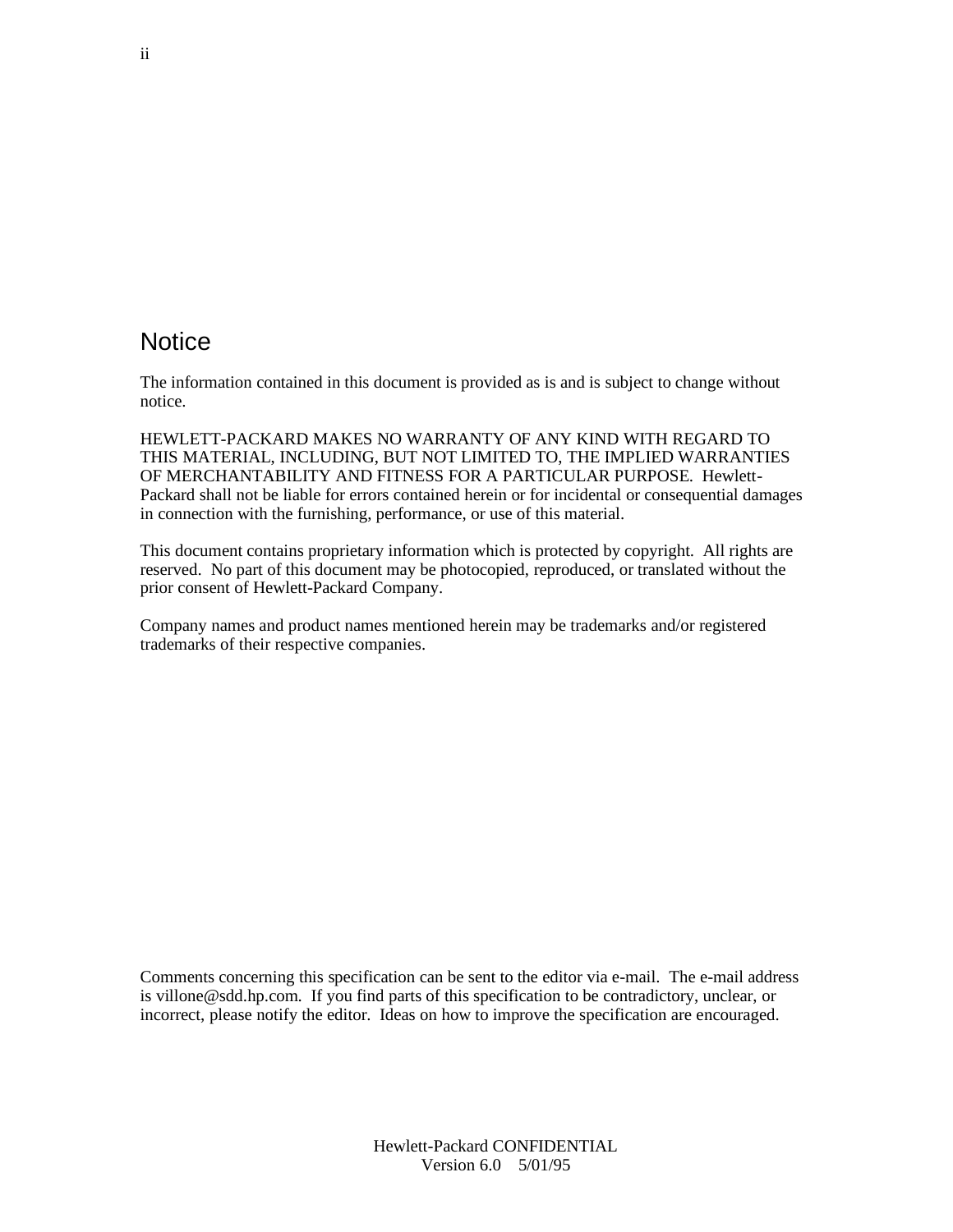#### **Notice**

The information contained in this document is provided as is and is subject to change without notice.

HEWLETT-PACKARD MAKES NO WARRANTY OF ANY KIND WITH REGARD TO THIS MATERIAL, INCLUDING, BUT NOT LIMITED TO, THE IMPLIED WARRANTIES OF MERCHANTABILITY AND FITNESS FOR A PARTICULAR PURPOSE. Hewlett-Packard shall not be liable for errors contained herein or for incidental or consequential damages in connection with the furnishing, performance, or use of this material.

This document contains proprietary information which is protected by copyright. All rights are reserved. No part of this document may be photocopied, reproduced, or translated without the prior consent of Hewlett-Packard Company.

Company names and product names mentioned herein may be trademarks and/or registered trademarks of their respective companies.

Comments concerning this specification can be sent to the editor via e-mail. The e-mail address is villone@sdd.hp.com. If you find parts of this specification to be contradictory, unclear, or incorrect, please notify the editor. Ideas on how to improve the specification are encouraged.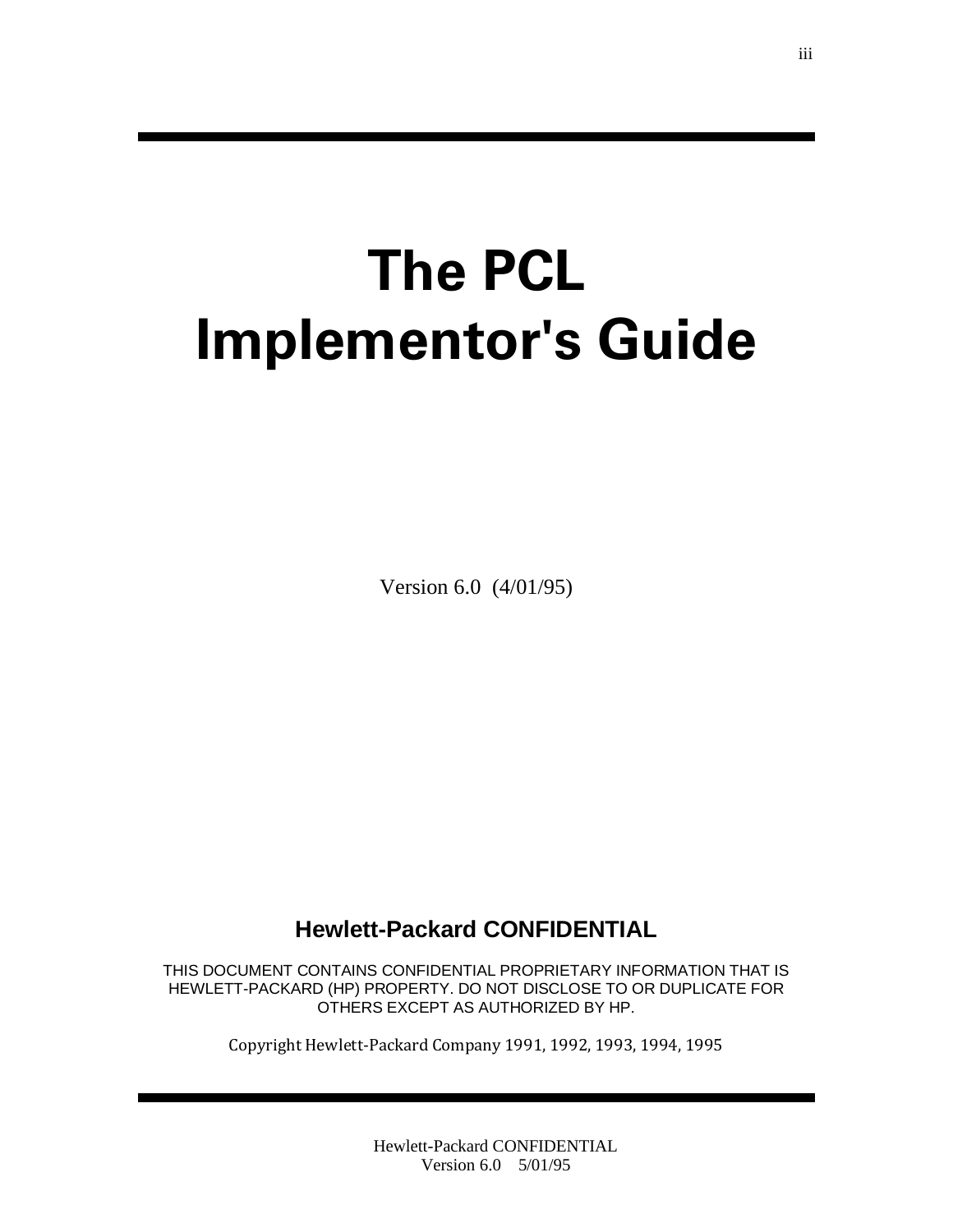# **The PCL Implementor's Guide**

Version 6.0 (4/01/95)

#### **Hewlett-Packard CONFIDENTIAL**

THIS DOCUMENT CONTAINS CONFIDENTIAL PROPRIETARY INFORMATION THAT IS HEWLETT-PACKARD (HP) PROPERTY. DO NOT DISCLOSE TO OR DUPLICATE FOR OTHERS EXCEPT AS AUTHORIZED BY HP.

Copyright Hewlett-Packard Company 1991, 1992, 1993, 1994, 1995

Hewlett-Packard CONFIDENTIAL Version 6.0 5/01/95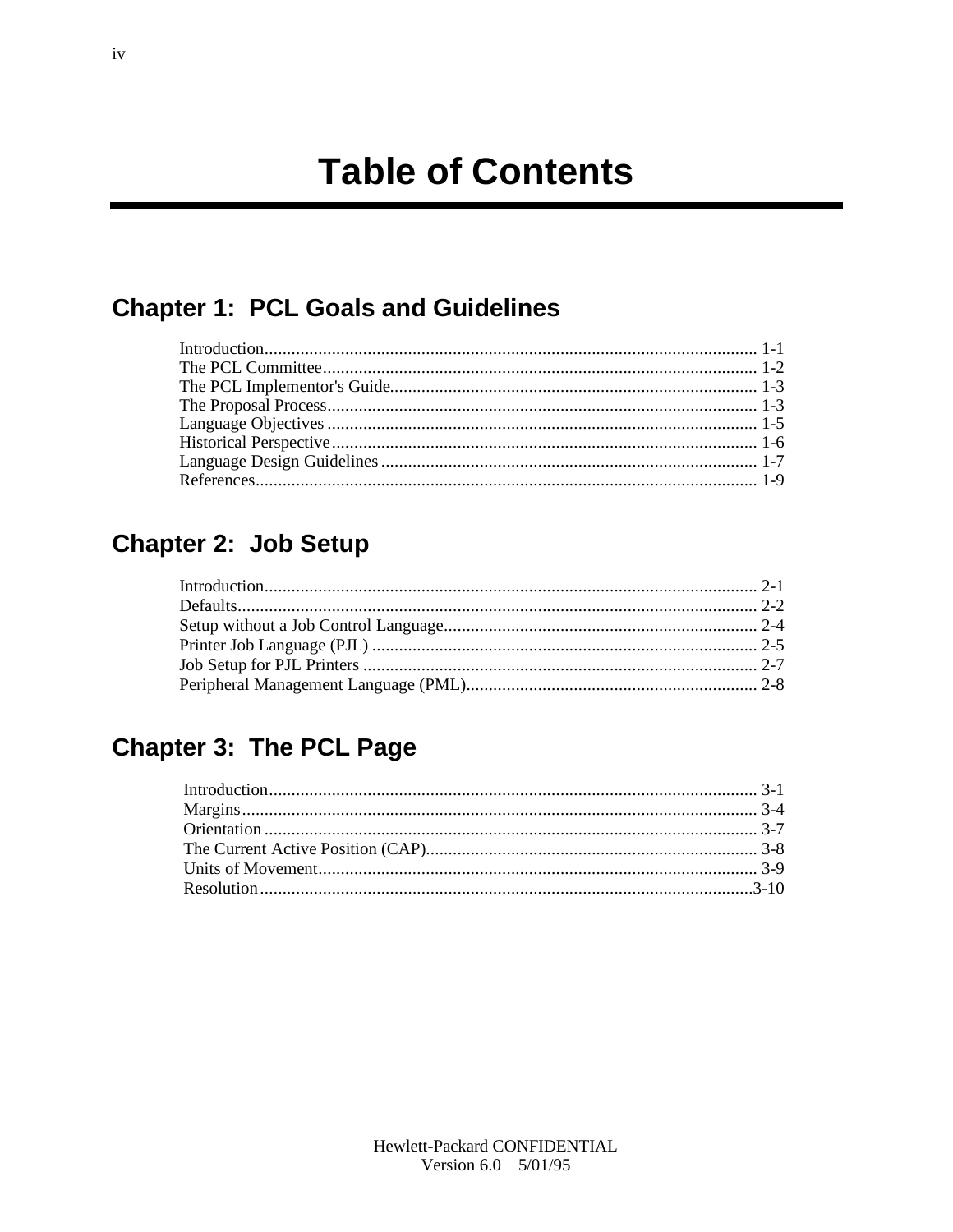#### **Chapter 1: PCL Goals and Guidelines**

#### Chapter 2: Job Setup

# **Chapter 3: The PCL Page**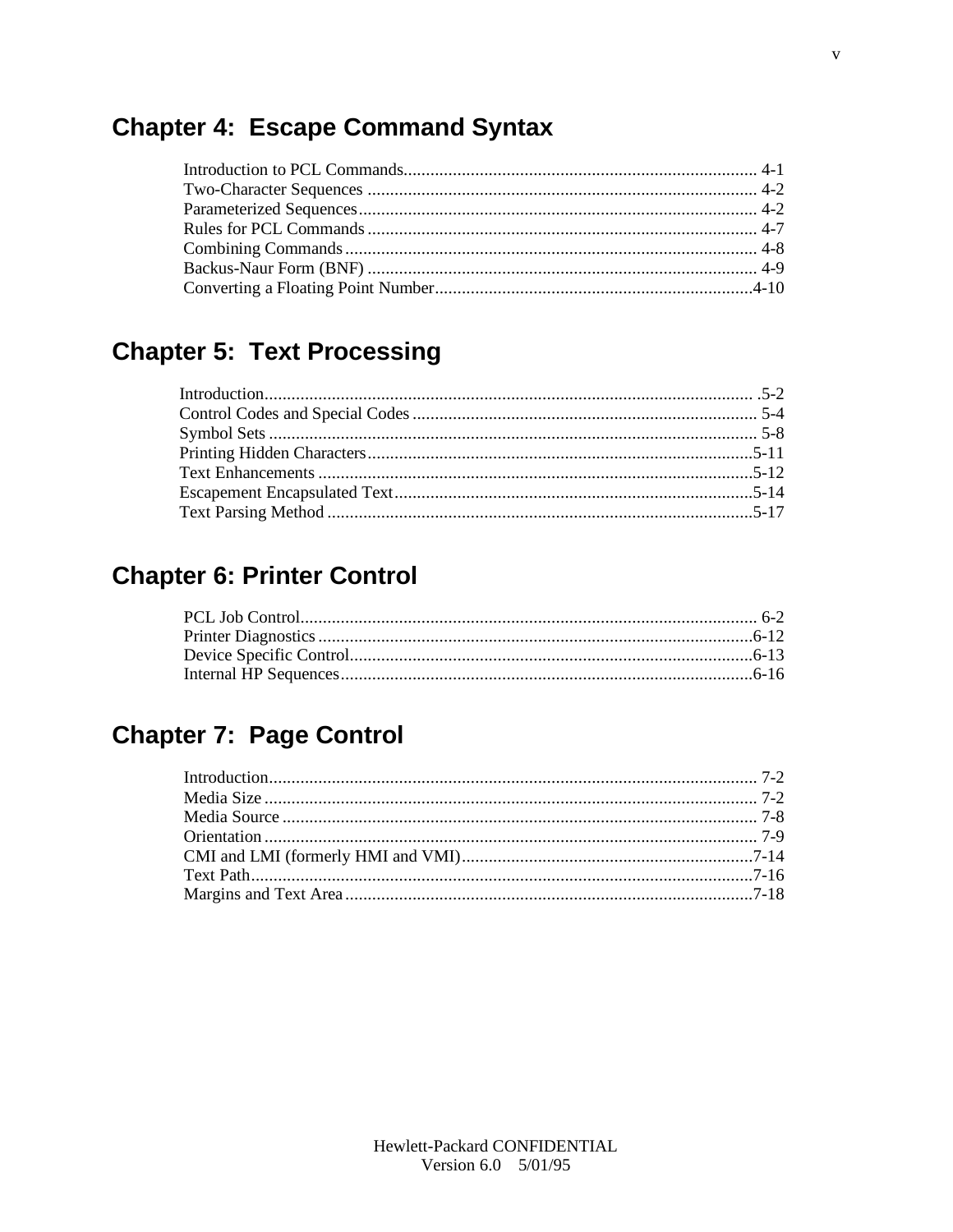#### **Chapter 4: Escape Command Syntax**

## **Chapter 5: Text Processing**

#### **Chapter 6: Printer Control**

## **Chapter 7: Page Control**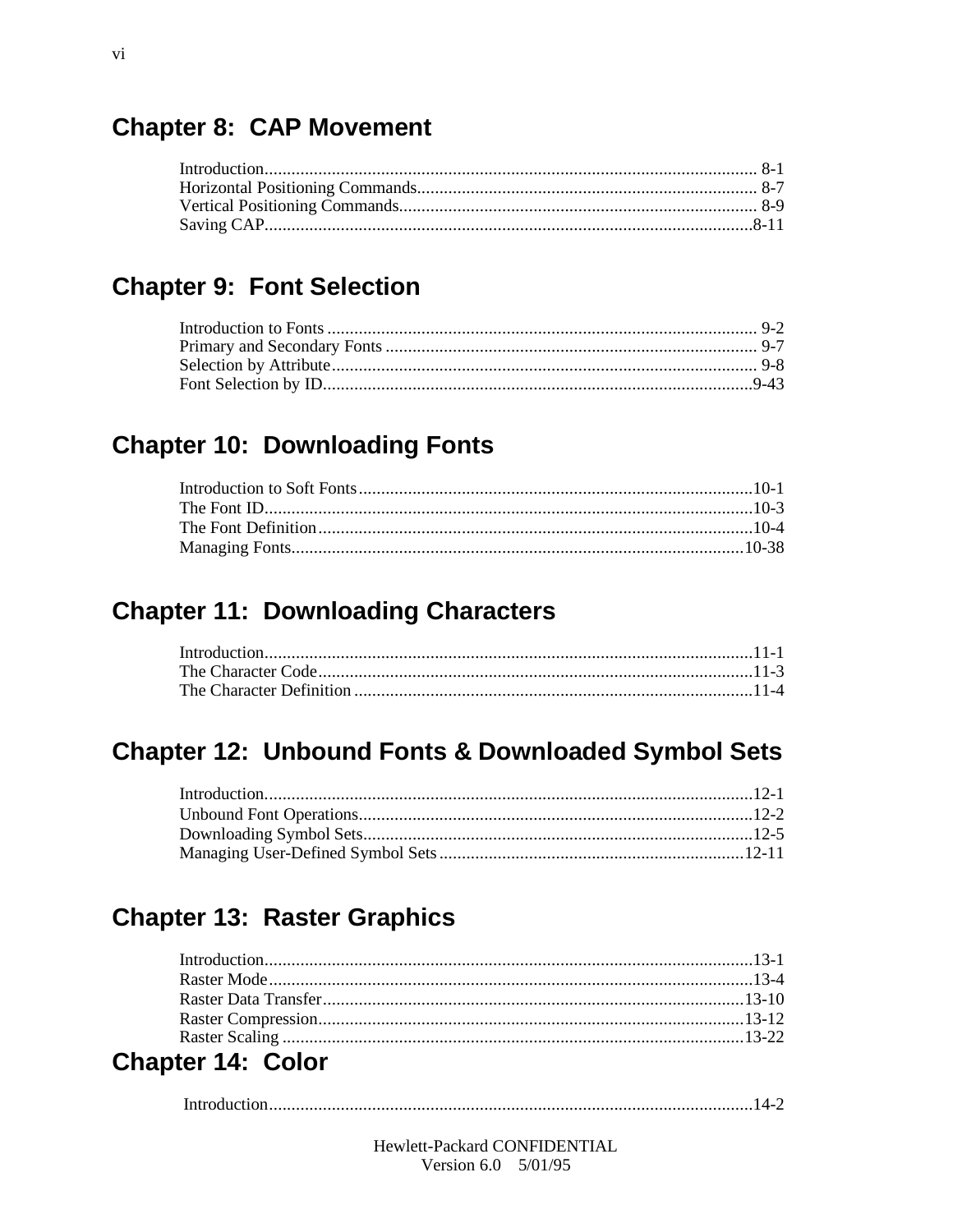#### **Chapter 8: CAP Movement**

#### **Chapter 9: Font Selection**

#### **Chapter 10: Downloading Fonts**

#### **Chapter 11: Downloading Characters**

#### **Chapter 12: Unbound Fonts & Downloaded Symbol Sets**

#### **Chapter 13: Raster Graphics**

| $\sim$ 1.0 $\sim$ 1.0 $\sim$ 1.0 $\sim$ 1.0 $\sim$ 1.0 $\sim$ 1.0 $\sim$ 1.0 $\sim$ 1.0 $\sim$ 1.0 $\sim$ 1.0 $\sim$ 1.0 $\sim$ 1.0 $\sim$ 1.0 $\sim$ 1.0 $\sim$ 1.0 $\sim$ 1.0 $\sim$ 1.0 $\sim$ 1.0 $\sim$ 1.0 $\sim$ 1.0 $\sim$ 1.0 $\sim$ 1.0 $\sim$ 1.0 $\sim$ 1.0 $\sim$ |  |
|--------------------------------------------------------------------------------------------------------------------------------------------------------------------------------------------------------------------------------------------------------------------------------|--|

#### Chapter 14: Color

|--|

Hewlett-Packard CONFIDENTIAL Version  $6.0 \quad 5/01/95$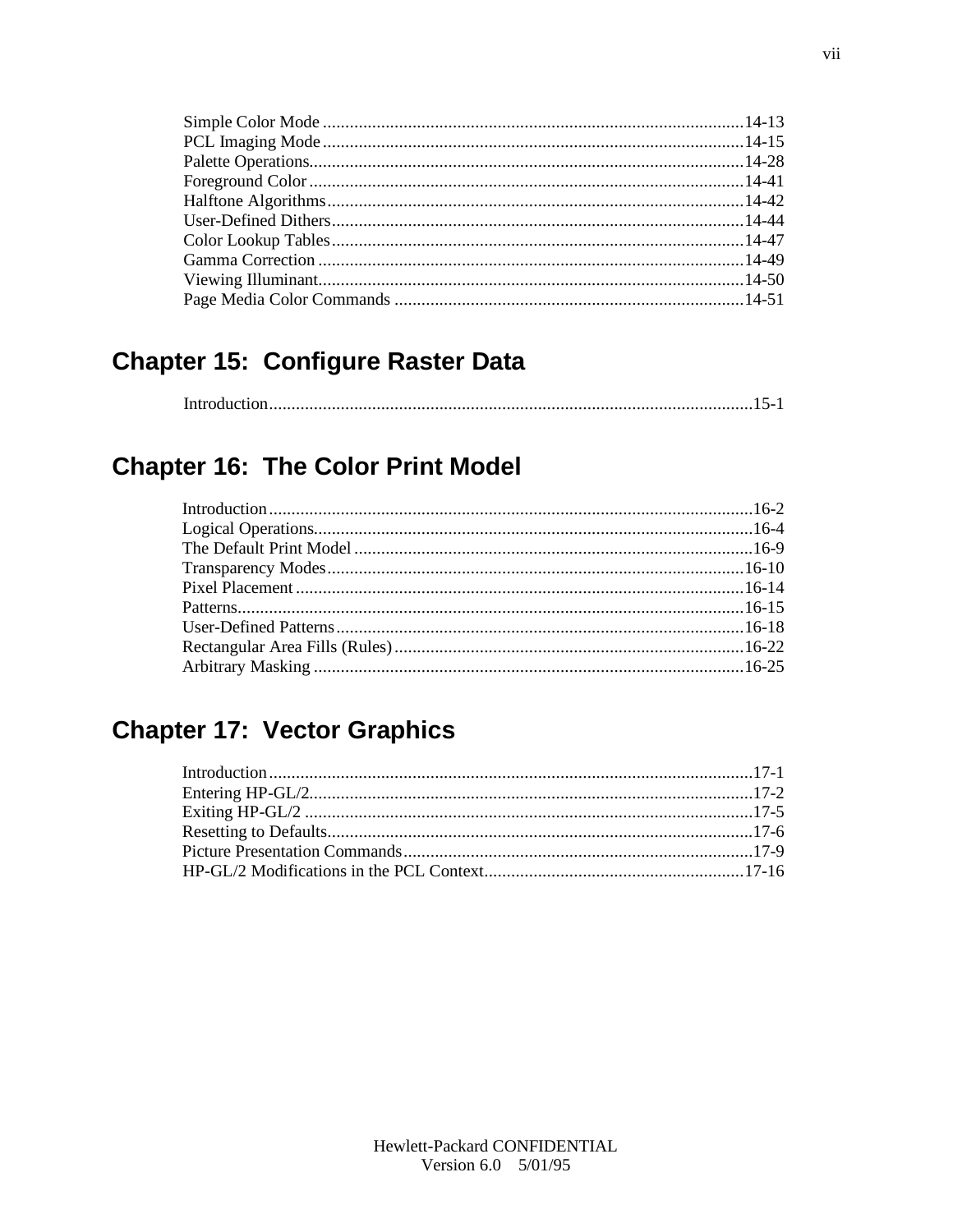#### **Chapter 15: Configure Raster Data**

|--|

#### **Chapter 16: The Color Print Model**

#### **Chapter 17: Vector Graphics**